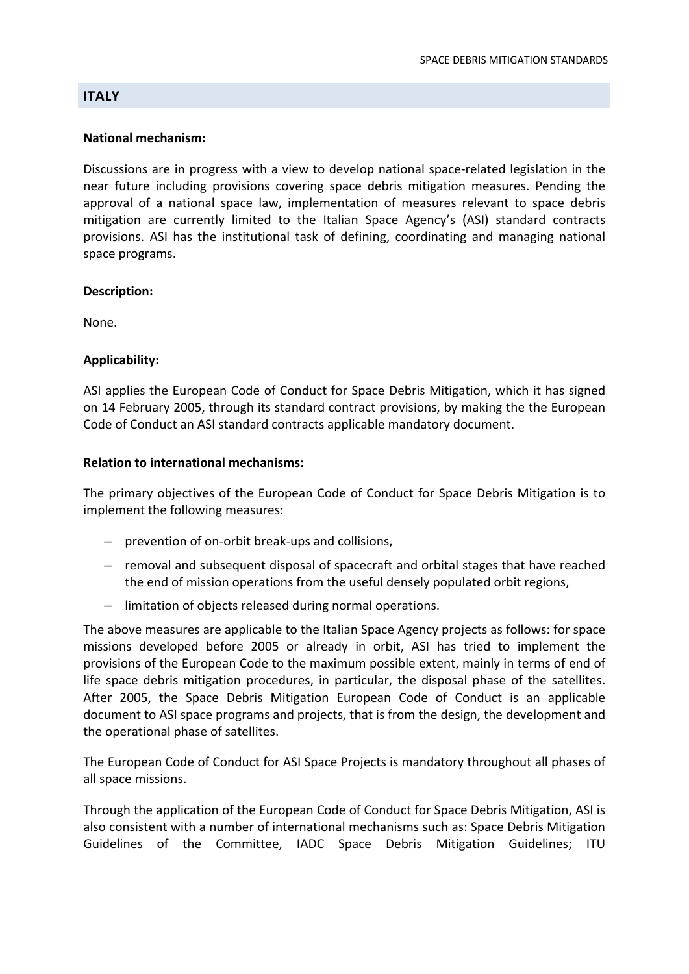# **ITALY**

## **National mechanism:**

Discussions are in progress with a view to develop national space‐related legislation in the near future including provisions covering space debris mitigation measures. Pending the approval of a national space law, implementation of measures relevant to space debris mitigation are currently limited to the Italian Space Agency's (ASI) standard contracts provisions. ASI has the institutional task of defining, coordinating and managing national space programs.

# **Description:**

None.

# **Applicability:**

ASI applies the European Code of Conduct for Space Debris Mitigation, which it has signed on 14 February 2005, through its standard contract provisions, by making the the European Code of Conduct an ASI standard contracts applicable mandatory document.

# **Relation to international mechanisms:**

The primary objectives of the European Code of Conduct for Space Debris Mitigation is to implement the following measures:

- prevention of on‐orbit break‐ups and collisions,
- removal and subsequent disposal of spacecraft and orbital stages that have reached the end of mission operations from the useful densely populated orbit regions,
- limitation of objects released during normal operations.

The above measures are applicable to the Italian Space Agency projects as follows: for space missions developed before 2005 or already in orbit, ASI has tried to implement the provisions of the European Code to the maximum possible extent, mainly in terms of end of life space debris mitigation procedures, in particular, the disposal phase of the satellites. After 2005, the Space Debris Mitigation European Code of Conduct is an applicable document to ASI space programs and projects, that is from the design, the development and the operational phase of satellites.

The European Code of Conduct for ASI Space Projects is mandatory throughout all phases of all space missions.

Through the application of the European Code of Conduct for Space Debris Mitigation, ASI is also consistent with a number of international mechanisms such as: Space Debris Mitigation Guidelines of the Committee, IADC Space Debris Mitigation Guidelines; ITU